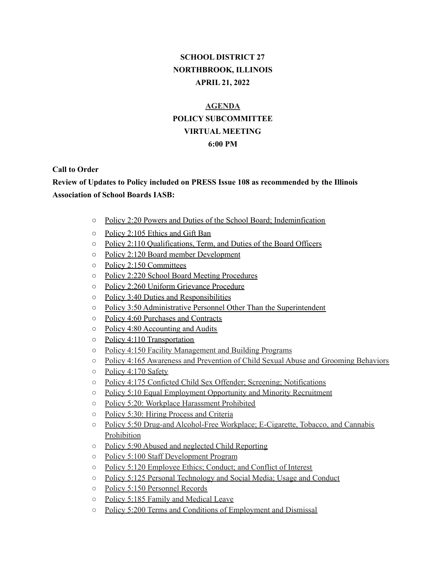# **SCHOOL DISTRICT 27 NORTHBROOK, ILLINOIS APRIL 21, 2022**

# **AGENDA POLICY SUBCOMMITTEE VIRTUAL MEETING 6:00 PM**

#### **Call to Order**

### **Review of Updates to Policy included on PRESS Issue 108 as recommended by the Illinois Association of School Boards IASB:**

- Policy 2:20 Powers and Duties of the School Board; Indeminfication
- Policy 2:105 Ethics and Gift Ban
- Policy 2:110 Qualifications, Term, and Duties of the Board Officers
- Policy 2:120 Board member Development
- Policy 2:150 Committees
- Policy 2:220 School Board Meeting Procedures
- Policy 2:260 Uniform Grievance Procedure
- Policy 3:40 Duties and Responsibilities
- Policy 3:50 Administrative Personnel Other Than the Superintendent
- Policy 4:60 Purchases and Contracts
- Policy 4:80 Accounting and Audits
- Policy 4:110 Transportation
- Policy 4:150 Facility Management and Building Programs
- Policy 4:165 Awareness and Prevention of Child Sexual Abuse and Grooming Behaviors
- Policy 4:170 Safety
- Policy 4:175 Conficted Child Sex Offender; Screening; Notifications
- Policy 5:10 Equal Employment Opportunity and Minority Recruitment
- Policy 5:20: Workplace Harassment Prohibited
- Policy 5:30: Hiring Process and Criteria
- Policy 5:50 Drug-and Alcohol-Free Workplace; E-Cigarette, Tobacco, and Cannabis Prohibition
- Policy 5:90 Abused and neglected Child Reporting
- Policy 5:100 Staff Development Program
- Policy 5:120 Employee Ethics; Conduct; and Conflict of Interest
- Policy 5:125 Personal Technology and Social Media; Usage and Conduct
- Policy 5:150 Personnel Records
- Policy 5:185 Family and Medical Leave
- Policy 5:200 Terms and Conditions of Employment and Dismissal